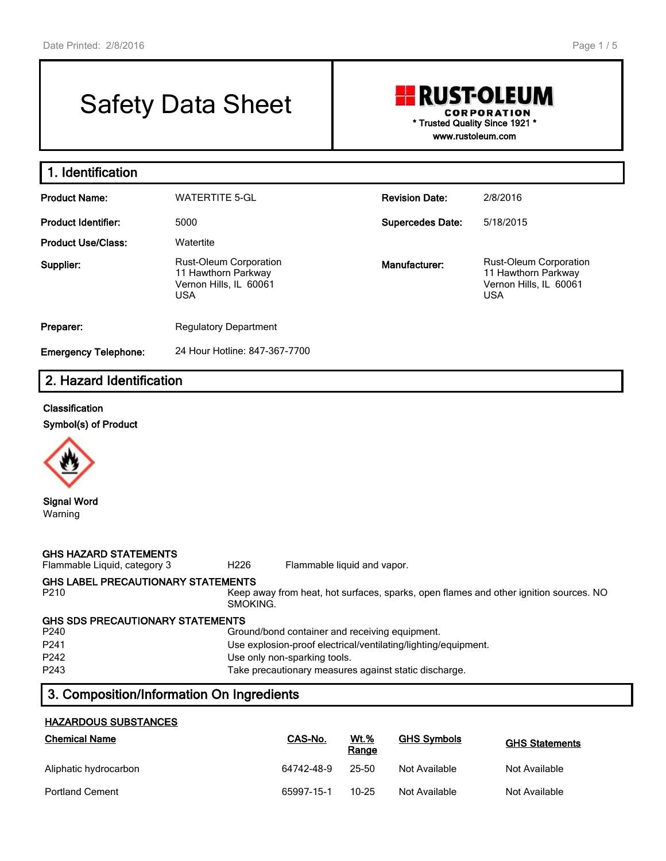**1. Identification**

# Safety Data Sheet

## **RUST-OLEUM CORPORATION \* Trusted Quality Since 1921 \* www.rustoleum.com**

**Product Name:** WATERTITE 5-GL **Revision Date:** 2/8/2016

| .                           | ,,,,,,,,,,,,,,,,,                                                                            |                         | ------                                                                                       |
|-----------------------------|----------------------------------------------------------------------------------------------|-------------------------|----------------------------------------------------------------------------------------------|
| <b>Product Identifier:</b>  | 5000                                                                                         | <b>Supercedes Date:</b> | 5/18/2015                                                                                    |
| <b>Product Use/Class:</b>   | Watertite                                                                                    |                         |                                                                                              |
| Supplier:                   | <b>Rust-Oleum Corporation</b><br>11 Hawthorn Parkway<br>Vernon Hills. IL 60061<br><b>USA</b> | Manufacturer:           | <b>Rust-Oleum Corporation</b><br>11 Hawthorn Parkway<br>Vernon Hills, IL 60061<br><b>USA</b> |
| Preparer:                   | <b>Regulatory Department</b>                                                                 |                         |                                                                                              |
| <b>Emergency Telephone:</b> | 24 Hour Hotline: 847-367-7700                                                                |                         |                                                                                              |

# **2. Hazard Identification**

#### **Classification**

**Symbol(s) of Product**



Warning

**GHS HAZARD STATEMENTS** Flammable Liquid, category 3 H226 Flammable liquid and vapor. **GHS LABEL PRECAUTIONARY STATEMENTS** Keep away from heat, hot surfaces, sparks, open flames and other ignition sources. NO SMOKING. **GHS SDS PRECAUTIONARY STATEMENTS** Ground/bond container and receiving equipment. P241 Use explosion-proof electrical/ventilating/lighting/equipment. P242 Use only non-sparking tools. P243 Take precautionary measures against static discharge.

## **3. Composition/Information On Ingredients**

#### **HAZARDOUS SUBSTANCES**

| <b>Chemical Name</b>   | CAS-No.    | <b>Wt.%</b><br>Range | <b>GHS Symbols</b> | <b>GHS Statements</b> |
|------------------------|------------|----------------------|--------------------|-----------------------|
| Aliphatic hydrocarbon  | 64742-48-9 | 25-50                | Not Available      | Not Available         |
| <b>Portland Cement</b> | 65997-15-1 | $10 - 25$            | Not Available      | Not Available         |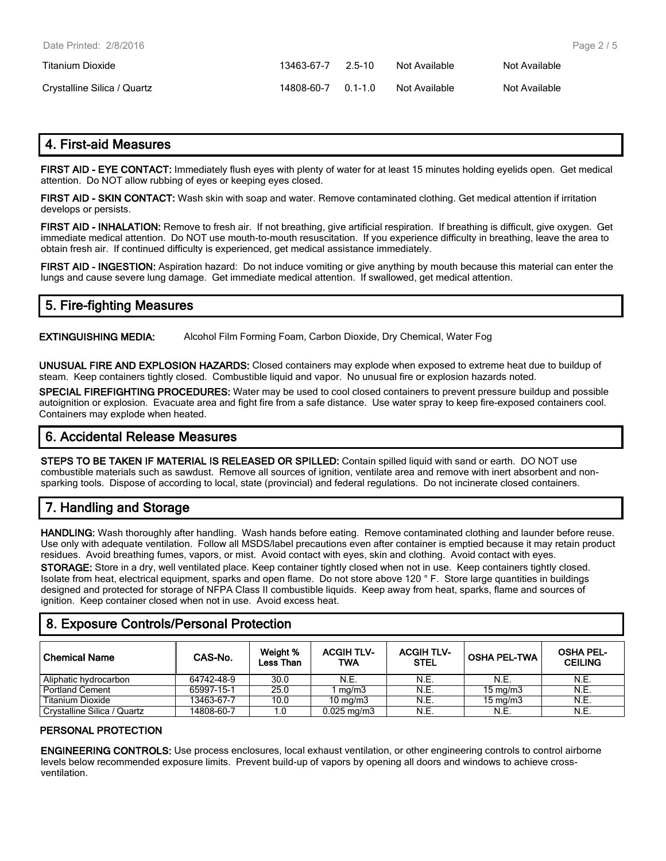| Date Printed: 2/8/2016      |            |         |               |               | Pag |
|-----------------------------|------------|---------|---------------|---------------|-----|
| Titanium Dioxide            | 13463-67-7 | 2.5-10  | Not Available | Not Available |     |
| Crystalline Silica / Quartz | 14808-60-7 | $01-10$ | Not Available | Not Available |     |

## **4. First-aid Measures**

**FIRST AID - EYE CONTACT:** Immediately flush eyes with plenty of water for at least 15 minutes holding eyelids open. Get medical attention. Do NOT allow rubbing of eyes or keeping eyes closed.

**FIRST AID - SKIN CONTACT:** Wash skin with soap and water. Remove contaminated clothing. Get medical attention if irritation develops or persists.

**FIRST AID - INHALATION:** Remove to fresh air. If not breathing, give artificial respiration. If breathing is difficult, give oxygen. Get immediate medical attention. Do NOT use mouth-to-mouth resuscitation. If you experience difficulty in breathing, leave the area to obtain fresh air. If continued difficulty is experienced, get medical assistance immediately.

**FIRST AID - INGESTION:** Aspiration hazard: Do not induce vomiting or give anything by mouth because this material can enter the lungs and cause severe lung damage. Get immediate medical attention. If swallowed, get medical attention.

#### **5. Fire-fighting Measures**

**EXTINGUISHING MEDIA:** Alcohol Film Forming Foam, Carbon Dioxide, Dry Chemical, Water Fog

**UNUSUAL FIRE AND EXPLOSION HAZARDS:** Closed containers may explode when exposed to extreme heat due to buildup of steam. Keep containers tightly closed. Combustible liquid and vapor. No unusual fire or explosion hazards noted.

**SPECIAL FIREFIGHTING PROCEDURES:** Water may be used to cool closed containers to prevent pressure buildup and possible autoignition or explosion. Evacuate area and fight fire from a safe distance. Use water spray to keep fire-exposed containers cool. Containers may explode when heated.

#### **6. Accidental Release Measures**

**STEPS TO BE TAKEN IF MATERIAL IS RELEASED OR SPILLED:** Contain spilled liquid with sand or earth. DO NOT use combustible materials such as sawdust. Remove all sources of ignition, ventilate area and remove with inert absorbent and nonsparking tools. Dispose of according to local, state (provincial) and federal regulations. Do not incinerate closed containers.

## **7. Handling and Storage**

**HANDLING:** Wash thoroughly after handling. Wash hands before eating. Remove contaminated clothing and launder before reuse. Use only with adequate ventilation. Follow all MSDS/label precautions even after container is emptied because it may retain product residues. Avoid breathing fumes, vapors, or mist. Avoid contact with eyes, skin and clothing. Avoid contact with eyes. **STORAGE:** Store in a dry, well ventilated place. Keep container tightly closed when not in use. Keep containers tightly closed. Isolate from heat, electrical equipment, sparks and open flame. Do not store above 120 ° F. Store large quantities in buildings designed and protected for storage of NFPA Class II combustible liquids. Keep away from heat, sparks, flame and sources of ignition. Keep container closed when not in use. Avoid excess heat.

## **8. Exposure Controls/Personal Protection**

| <b>Chemical Name</b>        | CAS-No.    | Weight %<br><b>Less Than</b> | <b>ACGIH TLV-</b><br>TWA | <b>ACGIH TLV-</b><br><b>STEL</b> | <b>OSHA PEL-TWA</b> | <b>OSHA PEL-</b><br><b>CEILING</b> |
|-----------------------------|------------|------------------------------|--------------------------|----------------------------------|---------------------|------------------------------------|
| Aliphatic hydrocarbon       | 64742-48-9 | 30.0                         | N.E.                     | N.E.                             | N.E.                | N.E.                               |
| Portland Cement             | 65997-15-1 | 25.0                         | 1 ma/m3                  | N.E.                             | $15 \text{ mg/m}$   | N.E.                               |
| <b>Titanium Dioxide</b>     | 13463-67-7 | 10.0                         | $10 \text{ mg/m}$        | N.E.                             | $15 \text{ mg/m}$   | N.E.                               |
| Crystalline Silica / Quartz | 14808-60-7 |                              | $0.025 \,\mathrm{mg/m}$  | N.E.                             | N.E.                | N.E.                               |

#### **PERSONAL PROTECTION**

**ENGINEERING CONTROLS:** Use process enclosures, local exhaust ventilation, or other engineering controls to control airborne levels below recommended exposure limits. Prevent build-up of vapors by opening all doors and windows to achieve crossventilation.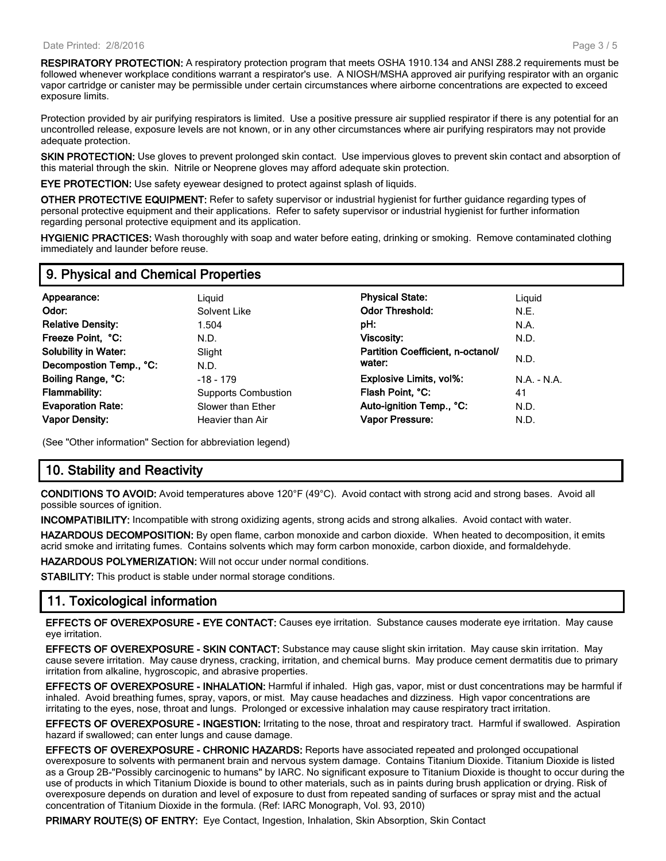**RESPIRATORY PROTECTION:** A respiratory protection program that meets OSHA 1910.134 and ANSI Z88.2 requirements must be followed whenever workplace conditions warrant a respirator's use. A NIOSH/MSHA approved air purifying respirator with an organic vapor cartridge or canister may be permissible under certain circumstances where airborne concentrations are expected to exceed exposure limits.

Protection provided by air purifying respirators is limited. Use a positive pressure air supplied respirator if there is any potential for an uncontrolled release, exposure levels are not known, or in any other circumstances where air purifying respirators may not provide adequate protection.

**SKIN PROTECTION:** Use gloves to prevent prolonged skin contact. Use impervious gloves to prevent skin contact and absorption of this material through the skin. Nitrile or Neoprene gloves may afford adequate skin protection.

**EYE PROTECTION:** Use safety eyewear designed to protect against splash of liquids.

**OTHER PROTECTIVE EQUIPMENT:** Refer to safety supervisor or industrial hygienist for further guidance regarding types of personal protective equipment and their applications. Refer to safety supervisor or industrial hygienist for further information regarding personal protective equipment and its application.

**HYGIENIC PRACTICES:** Wash thoroughly with soap and water before eating, drinking or smoking. Remove contaminated clothing immediately and launder before reuse.

#### **9. Physical and Chemical Properties**

| Appearance:                 | Liguid                     | <b>Physical State:</b>            | Liguid        |
|-----------------------------|----------------------------|-----------------------------------|---------------|
| Odor:                       | Solvent Like               | <b>Odor Threshold:</b>            | N.E.          |
| <b>Relative Density:</b>    | 1.504                      | pH:                               | N.A.          |
| Freeze Point, °C:           | N.D.                       | Viscosity:                        | N.D.          |
| <b>Solubility in Water:</b> | Slight                     | Partition Coefficient, n-octanol/ |               |
| Decompostion Temp., °C:     | N.D.                       | water:                            | N.D.          |
| Boiling Range, °C:          | $-18 - 179$                | Explosive Limits, vol%:           | $N.A. - N.A.$ |
| <b>Flammability:</b>        | <b>Supports Combustion</b> | Flash Point, °C:                  | 41            |
| <b>Evaporation Rate:</b>    | Slower than Ether          | Auto-ignition Temp., °C:          | N.D.          |
| <b>Vapor Density:</b>       | Heavier than Air           | Vapor Pressure:                   | N.D.          |

(See "Other information" Section for abbreviation legend)

## **10. Stability and Reactivity**

**CONDITIONS TO AVOID:** Avoid temperatures above 120°F (49°C). Avoid contact with strong acid and strong bases. Avoid all possible sources of ignition.

**INCOMPATIBILITY:** Incompatible with strong oxidizing agents, strong acids and strong alkalies. Avoid contact with water.

**HAZARDOUS DECOMPOSITION:** By open flame, carbon monoxide and carbon dioxide. When heated to decomposition, it emits acrid smoke and irritating fumes. Contains solvents which may form carbon monoxide, carbon dioxide, and formaldehyde.

**HAZARDOUS POLYMERIZATION:** Will not occur under normal conditions.

**STABILITY:** This product is stable under normal storage conditions.

## **11. Toxicological information**

**EFFECTS OF OVEREXPOSURE - EYE CONTACT:** Causes eye irritation. Substance causes moderate eye irritation. May cause eye irritation.

**EFFECTS OF OVEREXPOSURE - SKIN CONTACT:** Substance may cause slight skin irritation. May cause skin irritation. May cause severe irritation. May cause dryness, cracking, irritation, and chemical burns. May produce cement dermatitis due to primary irritation from alkaline, hygroscopic, and abrasive properties.

**EFFECTS OF OVEREXPOSURE - INHALATION:** Harmful if inhaled. High gas, vapor, mist or dust concentrations may be harmful if inhaled. Avoid breathing fumes, spray, vapors, or mist. May cause headaches and dizziness. High vapor concentrations are irritating to the eyes, nose, throat and lungs. Prolonged or excessive inhalation may cause respiratory tract irritation.

**EFFECTS OF OVEREXPOSURE - INGESTION:** Irritating to the nose, throat and respiratory tract. Harmful if swallowed. Aspiration hazard if swallowed; can enter lungs and cause damage.

**EFFECTS OF OVEREXPOSURE - CHRONIC HAZARDS:** Reports have associated repeated and prolonged occupational overexposure to solvents with permanent brain and nervous system damage. Contains Titanium Dioxide. Titanium Dioxide is listed as a Group 2B-"Possibly carcinogenic to humans" by IARC. No significant exposure to Titanium Dioxide is thought to occur during the use of products in which Titanium Dioxide is bound to other materials, such as in paints during brush application or drying. Risk of overexposure depends on duration and level of exposure to dust from repeated sanding of surfaces or spray mist and the actual concentration of Titanium Dioxide in the formula. (Ref: IARC Monograph, Vol. 93, 2010)

**PRIMARY ROUTE(S) OF ENTRY:** Eye Contact, Ingestion, Inhalation, Skin Absorption, Skin Contact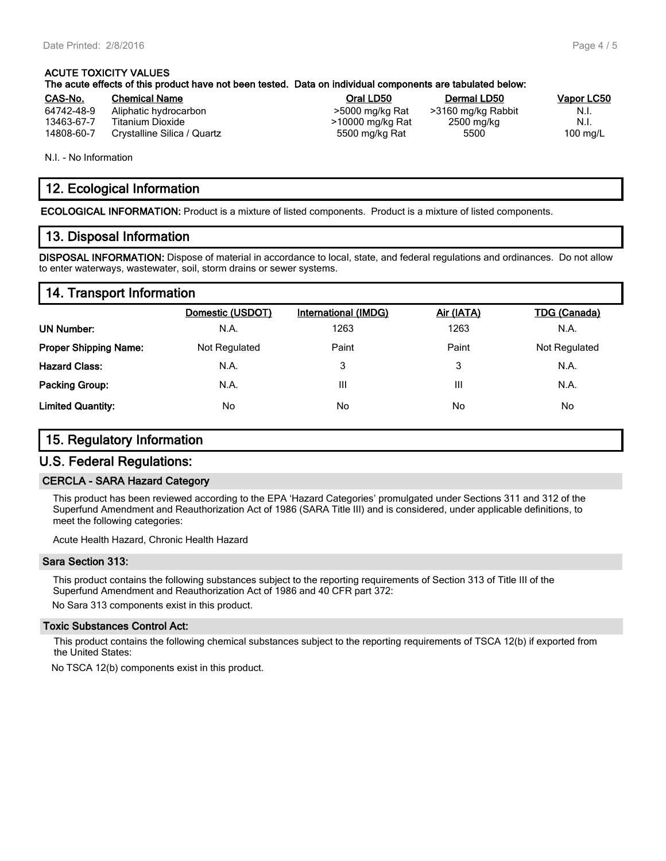## **ACUTE TOXICITY VALUES The acute effects of this product have not been tested. Data on individual components are tabulated below:**

| CAS-No.    | <b>Chemical Name</b>        | Oral LD50        | Dermal LD50        | Vapor LC50         |
|------------|-----------------------------|------------------|--------------------|--------------------|
| 64742-48-9 | Aliphatic hydrocarbon       | >5000 mg/kg Rat  | >3160 mg/kg Rabbit | N.I.               |
| 13463-67-7 | Titanium Dioxide            | >10000 mg/kg Rat | 2500 mg/kg         | N.I.               |
| 14808-60-7 | Crystalline Silica / Quartz | 5500 mg/kg Rat   | 5500               | $100 \text{ mg/L}$ |

N.I. - No Information

#### **12. Ecological Information**

**ECOLOGICAL INFORMATION:** Product is a mixture of listed components. Product is a mixture of listed components.

#### **13. Disposal Information**

**DISPOSAL INFORMATION:** Dispose of material in accordance to local, state, and federal regulations and ordinances. Do not allow to enter waterways, wastewater, soil, storm drains or sewer systems.

#### **14. Transport Information**

|                              | Domestic (USDOT) | <b>International (IMDG)</b> | Air (IATA) | <b>TDG (Canada)</b> |
|------------------------------|------------------|-----------------------------|------------|---------------------|
| <b>UN Number:</b>            | N.A.             | 1263                        | 1263       | N.A.                |
| <b>Proper Shipping Name:</b> | Not Regulated    | Paint                       | Paint      | Not Regulated       |
| <b>Hazard Class:</b>         | N.A.             | 3                           | 3          | N.A.                |
| <b>Packing Group:</b>        | N.A.             | Ш                           | Ш          | N.A.                |
| <b>Limited Quantity:</b>     | No               | No                          | No         | No                  |

#### **15. Regulatory Information**

#### **U.S. Federal Regulations:**

#### **CERCLA - SARA Hazard Category**

This product has been reviewed according to the EPA 'Hazard Categories' promulgated under Sections 311 and 312 of the Superfund Amendment and Reauthorization Act of 1986 (SARA Title III) and is considered, under applicable definitions, to meet the following categories:

Acute Health Hazard, Chronic Health Hazard

#### **Sara Section 313:**

This product contains the following substances subject to the reporting requirements of Section 313 of Title III of the Superfund Amendment and Reauthorization Act of 1986 and 40 CFR part 372:

No Sara 313 components exist in this product.

#### **Toxic Substances Control Act:**

This product contains the following chemical substances subject to the reporting requirements of TSCA 12(b) if exported from the United States:

No TSCA 12(b) components exist in this product.